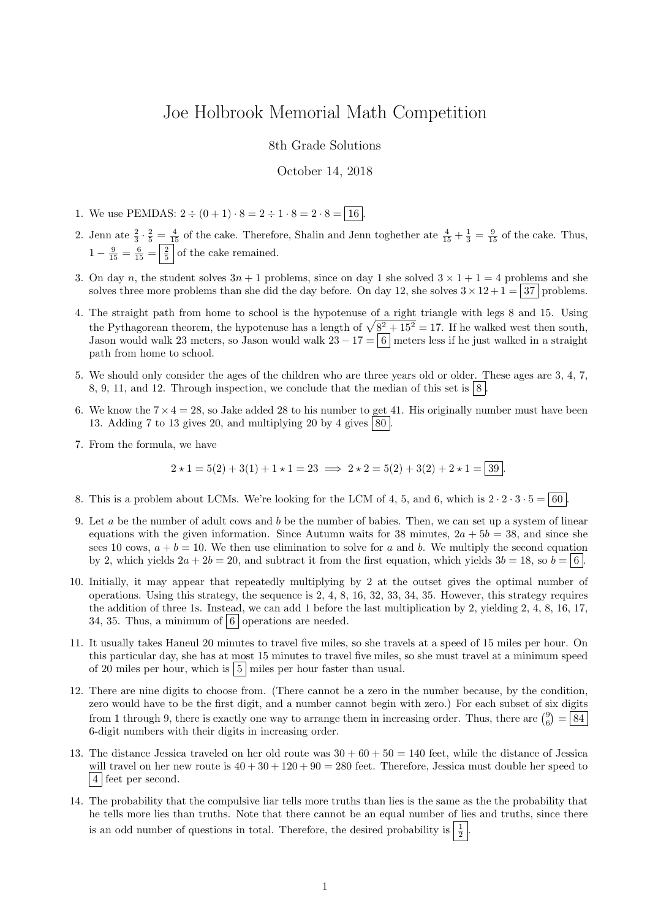## Joe Holbrook Memorial Math Competition

## 8th Grade Solutions

## October 14, 2018

- 1. We use PEMDAS:  $2 \div (0 + 1) \cdot 8 = 2 \div 1 \cdot 8 = 2 \cdot 8 = 16$
- 2. Jenn ate  $\frac{2}{3} \cdot \frac{2}{5} = \frac{4}{15}$  of the cake. Therefore, Shalin and Jenn toghether ate  $\frac{4}{15} + \frac{1}{3} = \frac{9}{15}$  of the cake. Thus,  $1 - \frac{9}{15} = \frac{6}{15} = \frac{2}{5}$  of the cake remained.
- 3. On day n, the student solves  $3n + 1$  problems, since on day 1 she solved  $3 \times 1 + 1 = 4$  problems and she solves three more problems than she did the day before. On day 12, she solves  $3 \times 12 + 1 = 37$  problems.
- 4. The straight path from home to school is the hypotenuse of a right triangle with legs 8 and 15. Using the Pythagorean theorem, the hypotenuse has a length of  $\sqrt{8^2 + 15^2} = 17$ . If he walked west then south, Jason would walk 23 meters, so Jason would walk  $23 - 17 = 6$  meters less if he just walked in a straight path from home to school.
- 5. We should only consider the ages of the children who are three years old or older. These ages are 3, 4, 7, 8, 9, 11, and 12. Through inspection, we conclude that the median of this set is  $|8|$ .
- 6. We know the  $7 \times 4 = 28$ , so Jake added 28 to his number to get 41. His originally number must have been 13. Adding 7 to 13 gives 20, and multiplying 20 by 4 gives  $\boxed{80}$
- 7. From the formula, we have

$$
2 \star 1 = 5(2) + 3(1) + 1 \star 1 = 23 \implies 2 \star 2 = 5(2) + 3(2) + 2 \star 1 = 39.
$$

- 8. This is a problem about LCMs. We're looking for the LCM of 4, 5, and 6, which is  $2 \cdot 2 \cdot 3 \cdot 5 = 60$ .
- 9. Let a be the number of adult cows and b be the number of babies. Then, we can set up a system of linear equations with the given information. Since Autumn waits for 38 minutes,  $2a + 5b = 38$ , and since she sees 10 cows,  $a + b = 10$ . We then use elimination to solve for a and b. We multiply the second equation by 2, which yields  $2a + 2b = 20$ , and subtract it from the first equation, which yields  $3b = 18$ , so  $b = 6$ .
- 10. Initially, it may appear that repeatedly multiplying by 2 at the outset gives the optimal number of operations. Using this strategy, the sequence is 2, 4, 8, 16, 32, 33, 34, 35. However, this strategy requires the addition of three 1s. Instead, we can add 1 before the last multiplication by 2, yielding 2, 4, 8, 16, 17, 34, 35. Thus, a minimum of  $\vert 6 \vert$  operations are needed.
- 11. It usually takes Haneul 20 minutes to travel five miles, so she travels at a speed of 15 miles per hour. On this particular day, she has at most 15 minutes to travel five miles, so she must travel at a minimum speed of 20 miles per hour, which is  $\vert 5 \vert$  miles per hour faster than usual.
- 12. There are nine digits to choose from. (There cannot be a zero in the number because, by the condition, zero would have to be the first digit, and a number cannot begin with zero.) For each subset of six digits from 1 through 9, there is exactly one way to arrange them in increasing order. Thus, there are  $\binom{9}{6} = \boxed{84}$ 6-digit numbers with their digits in increasing order.
- 13. The distance Jessica traveled on her old route was  $30 + 60 + 50 = 140$  feet, while the distance of Jessica will travel on her new route is  $40 + 30 + 120 + 90 = 280$  feet. Therefore, Jessica must double her speed to 4 feet per second.
- 14. The probability that the compulsive liar tells more truths than lies is the same as the the probability that he tells more lies than truths. Note that there cannot be an equal number of lies and truths, since there is an odd number of questions in total. Therefore, the desired probability is  $\frac{1}{2}$ .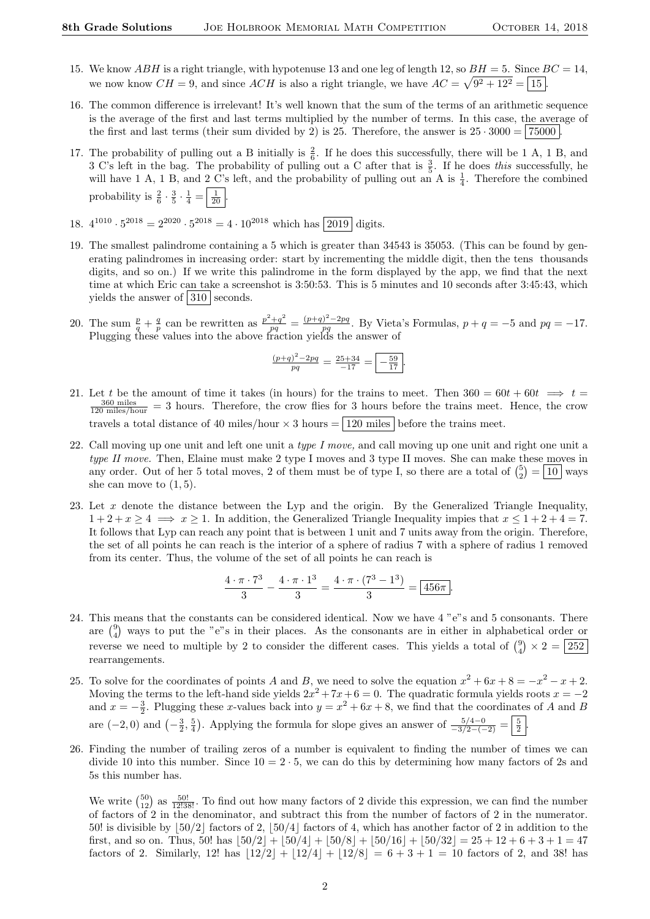- 15. We know ABH is a right triangle, with hypotenuse 13 and one leg of length 12, so  $BH = 5$ . Since  $BC = 14$ , we now know  $CH = 9$ , and since  $ACH$  is also a right triangle, we have  $AC = \sqrt{9^2 + 12^2} = \boxed{15}$ .
- 16. The common difference is irrelevant! It's well known that the sum of the terms of an arithmetic sequence is the average of the first and last terms multiplied by the number of terms. In this case, the average of the first and last terms (their sum divided by 2) is 25. Therefore, the answer is  $25 \cdot 3000 = | 75000 |$ .
- 17. The probability of pulling out a B initially is  $\frac{2}{6}$ . If he does this successfully, there will be 1 A, 1 B, and 3 C's left in the bag. The probability of pulling out a C after that is  $\frac{3}{5}$ . If he does this successfully, he will have 1 A, 1 B, and  $2 \text{ C's left}$ , and the probability of pulling out an A is  $\frac{1}{4}$ . Therefore the combined probability is  $\frac{2}{6} \cdot \frac{3}{5} \cdot \frac{1}{4} = \left| \frac{1}{20} \right|$ .
- 18.  $4^{1010} \cdot 5^{2018} = 2^{2020} \cdot 5^{2018} = 4 \cdot 10^{2018}$  which has  $\boxed{2019}$  digits.
- 19. The smallest palindrome containing a 5 which is greater than 34543 is 35053. (This can be found by generating palindromes in increasing order: start by incrementing the middle digit, then the tens thousands digits, and so on.) If we write this palindrome in the form displayed by the app, we find that the next time at which Eric can take a screenshot is 3:50:53. This is 5 minutes and 10 seconds after 3:45:43, which yields the answer of  $\boxed{310}$  seconds.
- 20. The sum  $\frac{p}{q} + \frac{q}{p}$  can be rewritten as  $\frac{p^2+q^2}{pq} = \frac{(p+q)^2-2pq}{pq}$  $\frac{p}{pq}$ . By Vieta's Formulas,  $p + q = -5$  and  $pq = -17$ . Plugging these values into the above fraction yields the answer of

$$
\frac{(p+q)^2 - 2pq}{pq} = \frac{25+34}{-17} = \boxed{-\frac{59}{17}}.
$$

- 21. Let t be the amount of time it takes (in hours) for the trains to meet. Then  $360 = 60t + 60t \implies t =$  $\frac{360 \text{ miles}}{120 \text{ miles/hour}}$  = 3 hours. Therefore, the crow flies for 3 hours before the trains meet. Hence, the crow travels a total distance of 40 miles/hour  $\times$  3 hours =  $\boxed{120 \text{ miles}}$  before the trains meet.
- 22. Call moving up one unit and left one unit a type I move, and call moving up one unit and right one unit a type II move. Then, Elaine must make 2 type I moves and 3 type II moves. She can make these moves in any order. Out of her 5 total moves, 2 of them must be of type I, so there are a total of  $\binom{5}{2} = \boxed{10}$  ways she can move to  $(1, 5)$ .
- 23. Let  $x$  denote the distance between the Lyp and the origin. By the Generalized Triangle Inequality,  $1+2+x \ge 4 \implies x \ge 1$ . In addition, the Generalized Triangle Inequality impies that  $x \le 1+2+4=7$ . It follows that Lyp can reach any point that is between 1 unit and 7 units away from the origin. Therefore, the set of all points he can reach is the interior of a sphere of radius 7 with a sphere of radius 1 removed from its center. Thus, the volume of the set of all points he can reach is

$$
\frac{4 \cdot \pi \cdot 7^3}{3} - \frac{4 \cdot \pi \cdot 1^3}{3} = \frac{4 \cdot \pi \cdot (7^3 - 1^3)}{3} = \boxed{456\pi}.
$$

- 24. This means that the constants can be considered identical. Now we have 4 "e"s and 5 consonants. There are  $\binom{9}{4}$  ways to put the "e"s in their places. As the consonants are in either in alphabetical order or reverse we need to multiple by 2 to consider the different cases. This yields a total of  $\binom{9}{4} \times 2 = 252$ rearrangements.
- 25. To solve for the coordinates of points A and B, we need to solve the equation  $x^2 + 6x + 8 = -x^2 x + 2$ . Moving the terms to the left-hand side yields  $2x^2 + 7x + 6 = 0$ . The quadratic formula yields roots  $x = -2$ and  $x = -\frac{3}{2}$ . Plugging these x-values back into  $y = x^2 + 6x + 8$ , we find that the coordinates of A and B are  $(-2,0)$  and  $\left(-\frac{3}{2},\frac{5}{4}\right)$ . Applying the formula for slope gives an answer of  $\frac{5/4-0}{-3/2-(-2)} = \frac{5}{2}$ .
- 26. Finding the number of trailing zeros of a number is equivalent to finding the number of times we can divide 10 into this number. Since  $10 = 2 \cdot 5$ , we can do this by determining how many factors of 2s and 5s this number has.

We write  $\binom{50}{12}$  as  $\frac{50!}{12!38!}$ . To find out how many factors of 2 divide this expression, we can find the number of factors of 2 in the denominator, and subtract this from the number of factors of 2 in the numerator. 50! is divisible by  $\lfloor 50/2 \rfloor$  factors of 2,  $\lfloor 50/4 \rfloor$  factors of 4, which has another factor of 2 in addition to the first, and so on. Thus, 50! has  $\left| 50/2 \right| + \left| 50/4 \right| + \left| 50/8 \right| + \left| 50/16 \right| + \left| 50/32 \right| = 25 + 12 + 6 + 3 + 1 = 47$ factors of 2. Similarly, 12! has  $|12/2|+|12/4|+|12/8|=6+3+1=10$  factors of 2, and 38! has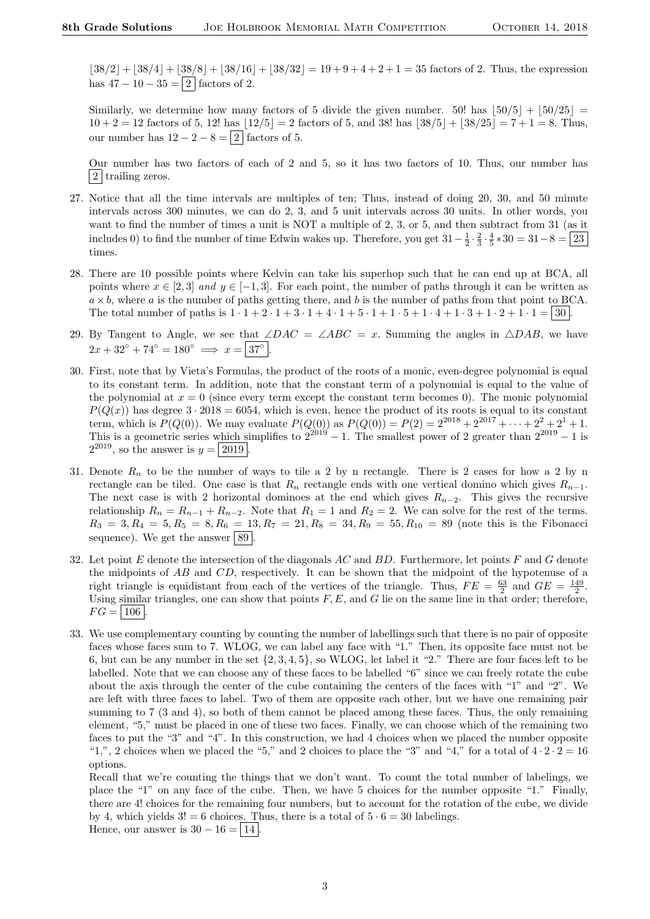$\lfloor 38/2 \rfloor + \lfloor 38/4 \rfloor + \lfloor 38/8 \rfloor + \lfloor 38/16 \rfloor + \lfloor 38/32 \rfloor = 19 + 9 + 4 + 2 + 1 = 35$  factors of 2. Thus, the expression has  $47 - 10 - 35 = 2$  factors of 2.

Similarly, we determine how many factors of 5 divide the given number. 50! has  $\vert 50/5 \vert + \vert 50/25 \vert =$  $10 + 2 = 12$  factors of 5, 12! has  $\lfloor 12/5 \rfloor = 2$  factors of 5, and 38! has  $\lfloor 38/5 \rfloor + \lfloor 38/25 \rfloor = 7 + 1 = 8$ . Thus, our number has  $12 - 2 - 8 = 2$  factors of 5.

Our number has two factors of each of 2 and 5, so it has two factors of 10. Thus, our number has 2 trailing zeros.

- 27. Notice that all the time intervals are multiples of ten; Thus, instead of doing 20, 30, and 50 minute intervals across 300 minutes, we can do 2, 3, and 5 unit intervals across 30 units. In other words, you want to find the number of times a unit is NOT a multiple of 2, 3, or 5, and then subtract from 31 (as it includes 0) to find the number of time Edwin wakes up. Therefore, you get  $31-\frac{1}{2}\cdot\frac{2}{3}\cdot\frac{4}{5}*30=31-8=\boxed{23}$ times.
- 28. There are 10 possible points where Kelvin can take his superhop such that he can end up at BCA, all points where  $x \in [2,3]$  and  $y \in [-1,3]$ . For each point, the number of paths through it can be written as  $a \times b$ , where a is the number of paths getting there, and b is the number of paths from that point to BCA. The total number of paths is  $1 \cdot 1 + 2 \cdot 1 + 3 \cdot 1 + 4 \cdot 1 + 5 \cdot 1 + 1 \cdot 5 + 1 \cdot 4 + 1 \cdot 3 + 1 \cdot 2 + 1 \cdot 1 = |30|$ .
- 29. By Tangent to Angle, we see that  $\angle DAC = \angle ABC = x$ . Summing the angles in  $\triangle DAB$ , we have  $2x + 32^{\circ} + 74^{\circ} = 180^{\circ} \implies x = |37^{\circ}|.$
- 30. First, note that by Vieta's Formulas, the product of the roots of a monic, even-degree polynomial is equal to its constant term. In addition, note that the constant term of a polynomial is equal to the value of the polynomial at  $x = 0$  (since every term except the constant term becomes 0). The monic polynomial  $P(Q(x))$  has degree  $3 \cdot 2018 = 6054$ , which is even, hence the product of its roots is equal to its constant term, which is  $P(Q(0))$ . We may evaluate  $P(Q(0))$  as  $P(Q(0)) = P(2) = 2^{2018} + 2^{2017} + \cdots + 2^2 + 2^1 + 1$ . This is a geometric series which simplifies to  $2^{2019} - 1$ . The smallest power of 2 greater than  $2^{2019} - 1$  is  $2^{2019}$ , so the answer is  $y = 2019$ .
- 31. Denote  $R_n$  to be the number of ways to tile a 2 by n rectangle. There is 2 cases for how a 2 by n rectangle can be tiled. One case is that  $R_n$  rectangle ends with one vertical domino which gives  $R_{n-1}$ . The next case is with 2 horizontal dominoes at the end which gives  $R_{n-2}$ . This gives the recursive relationship  $R_n = R_{n-1} + R_{n-2}$ . Note that  $R_1 = 1$  and  $R_2 = 2$ . We can solve for the rest of the terms.  $R_3 = 3, R_4 = 5, R_5 = 8, R_6 = 13, R_7 = 21, R_8 = 34, R_9 = 55, R_{10} = 89$  (note this is the Fibonacci sequence). We get the answer  $89$
- 32. Let point  $E$  denote the intersection of the diagonals  $AC$  and  $BD$ . Furthermore, let points  $F$  and  $G$  denote the midpoints of AB and CD, respectively. It can be shown that the midpoint of the hypotenuse of a right triangle is equidistant from each of the vertices of the triangle. Thus,  $FE = \frac{63}{2}$  and  $GE = \frac{149}{2}$ . Using similar triangles, one can show that points  $F, E$ , and G lie on the same line in that order; therefore,  $FG = | 106$
- 33. We use complementary counting by counting the number of labellings such that there is no pair of opposite faces whose faces sum to 7. WLOG, we can label any face with "1." Then, its opposite face must not be 6, but can be any number in the set  $\{2, 3, 4, 5\}$ , so WLOG, let label it "2." There are four faces left to be labelled. Note that we can choose any of these faces to be labelled "6" since we can freely rotate the cube about the axis through the center of the cube containing the centers of the faces with "1" and "2". We are left with three faces to label. Two of them are opposite each other, but we have one remaining pair summing to 7 (3 and 4), so both of them cannot be placed among these faces. Thus, the only remaining element, "5," must be placed in one of these two faces. Finally, we can choose which of the remaining two faces to put the "3" and "4". In this construction, we had 4 choices when we placed the number opposite "1,", 2 choices when we placed the "5," and 2 choices to place the "3" and "4," for a total of  $4 \cdot 2 \cdot 2 = 16$ options.

Recall that we're counting the things that we don't want. To count the total number of labelings, we place the "1" on any face of the cube. Then, we have 5 choices for the number opposite "1." Finally, there are 4! choices for the remaining four numbers, but to account for the rotation of the cube, we divide by 4, which yields  $3! = 6$  choices. Thus, there is a total of  $5 \cdot 6 = 30$  labelings.

Hence, our answer is  $30 - 16 = |14|$ .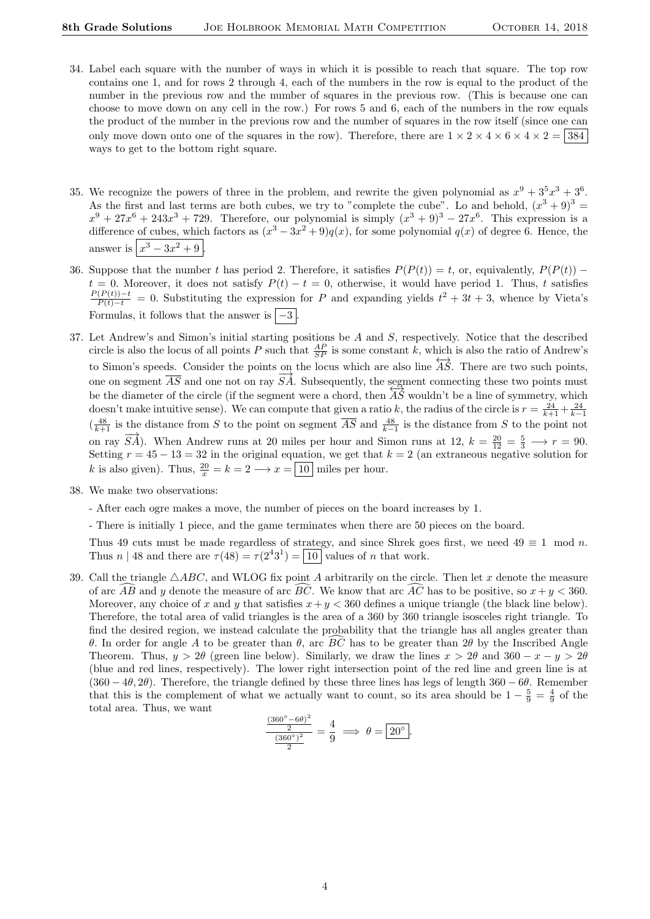- 34. Label each square with the number of ways in which it is possible to reach that square. The top row contains one 1, and for rows 2 through 4, each of the numbers in the row is equal to the product of the number in the previous row and the number of squares in the previous row. (This is because one can choose to move down on any cell in the row.) For rows 5 and 6, each of the numbers in the row equals the product of the number in the previous row and the number of squares in the row itself (since one can only move down onto one of the squares in the row). Therefore, there are  $1 \times 2 \times 4 \times 6 \times 4 \times 2 = |384|$ ways to get to the bottom right square.
- 35. We recognize the powers of three in the problem, and rewrite the given polynomial as  $x^9 + 3^5x^3 + 3^6$ . As the first and last terms are both cubes, we try to "complete the cube". Lo and behold,  $(x^3 + 9)^3$  $x^9 + 27x^6 + 243x^3 + 729$ . Therefore, our polynomial is simply  $(x^3 + 9)^3 - 27x^6$ . This expression is a difference of cubes, which factors as  $(x^3 - 3x^2 + 9)q(x)$ , for some polynomial  $q(x)$  of degree 6. Hence, the answer is  $\left| x^3 - 3x^2 + 9 \right|$ .
- 36. Suppose that the number t has period 2. Therefore, it satisfies  $P(P(t)) = t$ , or, equivalently,  $P(P(t))$   $t = 0$ . Moreover, it does not satisfy  $P(t) - t = 0$ , otherwise, it would have period 1. Thus, t satisfies  $\frac{P(P(t)) - t}{P(t) - t} = 0$ . Substituting the expression for P and expanding yields  $t^2 + 3t + 3$ , whence by Vieta's Formulas, it follows that the answer is  $\boxed{-3}$ .
- 37. Let Andrew's and Simon's initial starting positions be A and S, respectively. Notice that the described circle is also the locus of all points P such that  $\frac{AP}{SP}$  is some constant k, which is also the ratio of Andrew's to Simon's speeds. Consider the points on the locus which are also line  $\overleftrightarrow{AS}$ . There are two such points, one on segment  $\overline{AS}$  and one not on ray  $\overline{SA}$ . Subsequently, the segment connecting these two points must be the diameter of the circle (if the segment were a chord, then  $\overleftrightarrow{AS}$  wouldn't be a line of symmetry, which doesn't make intuitive sense). We can compute that given a ratio k, the radius of the circle is  $r = \frac{24}{k+1} + \frac{24}{k-1}$  $\left(\frac{48}{k+1}\right)$  is the distance from S to the point on segment  $\overline{AS}$  and  $\frac{48}{k-1}$  is the distance from S to the point not on ray  $\overrightarrow{SA}$ ). When Andrew runs at 20 miles per hour and Simon runs at 12,  $k = \frac{20}{12} = \frac{5}{3} \longrightarrow r = 90$ . Setting  $r = 45 - 13 = 32$  in the original equation, we get that  $k = 2$  (an extraneous negative solution for k is also given). Thus,  $\frac{20}{x} = k = 2 \longrightarrow x = \boxed{10}$  miles per hour.
- 38. We make two observations:
	- After each ogre makes a move, the number of pieces on the board increases by 1.
	- There is initially 1 piece, and the game terminates when there are 50 pieces on the board.

Thus 49 cuts must be made regardless of strategy, and since Shrek goes first, we need  $49 \equiv 1 \mod n$ . Thus *n* | 48 and there are  $\tau(48) = \tau(2^43^1) = 10$  values of *n* that work.

39. Call the triangle  $\triangle ABC$ , and WLOG fix point A arbitrarily on the circle. Then let x denote the measure of arc  $\widehat{AB}$  and y denote the measure of arc  $\widehat{BC}$ . We know that arc  $\widehat{AC}$  has to be positive, so  $x + y < 360$ . Moreover, any choice of x and y that satisfies  $x + y < 360$  defines a unique triangle (the black line below). Therefore, the total area of valid triangles is the area of a 360 by 360 triangle isosceles right triangle. To find the desired region, we instead calculate the probability that the triangle has all angles greater than θ. In order for angle A to be greater than θ, arc BC has to be greater than 2θ by the Inscribed Angle Theorem. Thus,  $y > 2\theta$  (green line below). Similarly, we draw the lines  $x > 2\theta$  and  $360 - x - y > 2\theta$ (blue and red lines, respectively). The lower right intersection point of the red line and green line is at  $(360 - 4\theta, 2\theta)$ . Therefore, the triangle defined by these three lines has legs of length  $360 - 6\theta$ . Remember that this is the complement of what we actually want to count, so its area should be  $1-\frac{5}{9}=\frac{4}{9}$  of the total area. Thus, we want

$$
\frac{\frac{(360^\circ - 6\theta)^2}{2}}{\frac{(360^\circ)^2}{2}} = \frac{4}{9} \implies \theta = 20^\circ.
$$